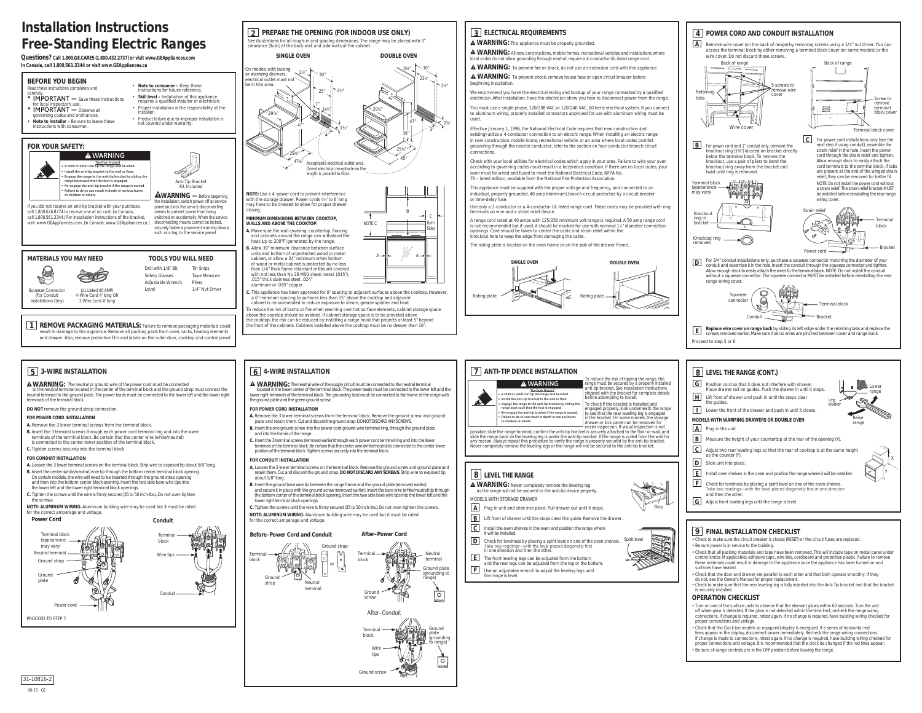verning codes and ordinances. • **Note to Installer –** Be sure to leave these instructions with consumer.

#### **BEFORE YOU BEGIN** Read these instructions completely and carefully. **•** IMPORTANT — Save these instructions for local inspector's use. **• IMPORTANT** — Observe all • **Note to consumer –** Keep these instructions for future reference. • **Skill level –** Installation of this appliance requires a qualified installer or electrician. • Proper installation is the responsibility of the installer.

visit: www.GEAppliances.com. (In Canada, www.GEAppliances.ca.) switched on accidentally. When the service disconnecting means cannot be locked, securely fasten a prominent warning device, such as a tag, to the service panel

• Product failure due to improper installation is

not covered under warranty.

## **FOR YOUR SAFETY:**

**1 REMOVE PACKAGING MATERIALS:** Failure to remove packaging materials could result in damage to the appliance. Remove all packing parts from oven, racks, heating elements and drawer. Also, remove protective film and labels on the outer door, cooktop and control panel.

If you did not receive an anti-tip bracket with your purchase, call 1.800.626.8774 to receive one at no cost. (In Canada, call 1.800.561.3344.) For installation instructions of the bracket,

# **Installation Instructions Free-Standing Electric Ranges**



(UL Listed 40 AMP)

4-Wire Cord 4' long OR 3-Wire Cord 4' long

Squeeze Connector (For Conduit Installations Only)

#### **AWARNING** — Before beginning the installation, switch power off at service panel and lock the service disconnecting means to prevent power from being

Drill with 1/8" Bit Safety Glasses Adjustable Wrench

Level

Tin Snips Tape Measure Pliers 1/4" Nut Driver

**WARNING • A child or adult can tip the range and be killed. Tip-Over Hazard • Install the anti-tip bracket to the wall or floor. AX • Engage the range to the anti-tip bracket by sliding the range back such that the foot is engaged. • Re-engage the anti-tip bracket if the range is moved. • Failure to do so can result in death or serious burns to children or adults.**

**Questions? Call 1.800.GE.CARES (1.800.432.2737) or visit www.GEAppliances.com In Canada, call 1.800.561.3344 or visit www.GEAppliances.ca**

> o reduce the risk of burns or fire when reaching over hot surface elements, cabinet storage space above the cooktop should be avoided. If cabinet storage space is to be provided above the cooktop, the risk can be reduced by installing a range hood that projects at least 5" beyond the front of the cabinets. Cabinets installed above the cooktop must be no deeper than 16".

**A WARNING:** All new constructions, mobile homes, recreational vehicles and installations where local codes do not allow grounding through neutral, require a 4-conductor UL-listed range cord. **WARNING:** To prevent fire or shock, do not use an extension cord with this appliance.

**A WARNING:** To prevent shock, remove house fuse or open circuit breaker before

A

A

**B.** Allow 30" minimum clearance between surface units and bottom of unprotected wood or metal cabinet, or allow a 24" minimum when bottom of wood or metal cabinet is protected by no less than 1/4" thick flame retardant millboard covered with not less than No 28 MSG sheet metal, (.015"), .015" thick stainless steel, .024"

- aluminum or .020" copper.
- **C.** This appliance has been approved for 0" spacing to adjacent surfaces above the cooktop. However, a 6" minimum spacing to surfaces less than 15" above the cooktop and adjacent cabinet is recommended to reduce exposure to steam, grease splatter and heat.

# **3 ELECTRICAL REQUIREMENTS**

**WARNING:** This appliance must be properly grounded.

**AWARNING:** The neutral or ground wire of the power cord must be connected to the neutral terminal located in the center of the terminal block and the ground strap must connect the neutral terminal to the ground plate. The power leads must be connected to the lower left and the lower right terminals of the terminal block.

beginning installation.

We recommend you have the electrical wiring and hookup of your range connected by a qualified electrician. After installation, have the electrician show you how to disconnect power from the range. You must use a single-phase, 120/208 VAC or 120/240 VAC, 60 hertz electrical system. If you connect to aluminum wiring, properly installed connectors approved for use with aluminum wiring must be

used. Effective January 1, 1996, the National Electrical Code requires that new construction (not existing) utilize a 4-conductor connection to an electric range. When installing an electric range in new construction, mobile home, recreational vehicle, or an area where local codes prohibit grounding through the neutral conductor, refer to the section on four-conductor branch circuit connections.

**A WARNING:** The neutral wire of the supply circuit must be connected to the neutral terminal located in the lower center of the terminal block. The power leads must be connected to the lower left and the lower right terminals of the terminal block. The grounding lead must be connected to the frame of the range with the ground plate and the green ground screw.

Check with your local utilities for electrical codes which apply in your area. Failure to wire your oven according to governing codes could result in a hazardous condition. If there are no local codes, your oven must be wired and fused to meet the National Electrical Code, NFPA No. 70 – latest edition, available from the National Fire Protection Association.

This appliance must be supplied with the proper voltage and frequency, and connected to an individual, properly grounded, 40 amp (minimum) branch circuit protected by a circuit breaker or time-delay fuse.

Use only a 3-conductor or a 4-conductor UL-listed range cord. These cords may be provided with ring terminals on wire and a strain relief device.

**Terminal** block

> Ground plate (grounding to ange)

> > $\circ$

Ground screw

A range cord rated at 40 amps with 125/250 minimum volt range is required. A 50 amp range cord is not recommended but if used, it should be marked for use with nominal 1%" diameter connection openings. Care should be taken to center the cable and strain relief within the knockout hole to keep the edge from damaging the cable. The rating plate is located on the oven frame or on the side of the drawer frame.



**• A child or adult can tip the range and be killed. Tip-Over Hazard • Install the anti-tip bracket to the wall or floor. • Engage the range to the anti-tip bracket by sliding the range back such that the foot is engaged. • Re-engage the anti-tip bracket if the range is moved. • Failure to do so can result in death or serious burns** *adults.* 



- **E** Install oven shelves in the oven and position the range where it will be installed. levelness by placing a spirit level on one of the oven shelves.
- readings—with the level placed diagonally first in one direction the other

**G** Adjust front leveling legs until the range is level.

| Ιн             | Lift front of drawer and push in until the stops clear<br>the quides.           | Leg<br>leveler | ண               |
|----------------|---------------------------------------------------------------------------------|----------------|-----------------|
|                | Lower the front of the drawer and push in until it closes.                      |                |                 |
|                | MODELS WITH WARMING DRAWERS OR DOUBLE OVEN                                      |                | -<br>Rai<br>ran |
| ΙA             | Plug in the unit.                                                               |                |                 |
| l B            | Measure the height of your countertop at the rear of the opening (X).           |                |                 |
| $\overline{C}$ | Adjust two rear leveling legs so that the rear of cooktop is at the same height |                |                 |

# **5 3-WIRE INSTALLATION**



**DO NOT** remove the ground strap connection.

#### **FOR POWER CORD INSTALLATION**

- **A.** Remove the 3 lower terminal screws from the terminal block.
- **B.** Insert the 3 terminal screws through each power cord terminal ring and into the lower terminals of the terminal block. Be certain that the center wire (white/neutral) is connected to the center lower position of the terminal block.
- **C.** Tighten screws securely into the terminal block.



#### **FOR CONDUIT INSTALLATION**

- **A.** Loosen the 3 lower terminal screws on the terminal block. Strip wire to exposed tip about 5/8" long.
- **B.** Insert the center (white/neutral) wire tip through the bottom center terminal block opening. On certain models, the wire will need to be inserted through the ground strap opening and then into the bottom center block opening. Insert the two side bare wire tips into the lower left and the lower right terminal block openings.
- **C.** Tighten the screws until the wire is firmly secured (35 to 50 inch-lbs.). Do not over-tighten the screws.
- **NOTE: ALUMINUM WIRING:** Aluminum building wire may be used but it must be rated for the correct amperage and voltage.

# **6 4-WIRE INSTALLATION**

#### **FOR POWER CORD INSTALLATION**

- **A.** Remove the 3 lower terminal screws from the terminal block. Remove the ground screw and ground plate and retain them. Cut and discard the ground strap. DO NOT DISCARD ANY SCREWS.
- **B.** Insert the one ground screw into the power cord ground wire terminal ring, through the ground plate and into the frame of the range.
- **C.** Insert the 3 terminal screws (removed earlier) through each power cord terminal ring and into the lower terminals of the terminal block. Be certain that the center wire (white/neutral) is connected to the center lower position of the terminal block. Tighten screws securely into the terminal block.

#### **FOR CONDUIT INSTALLATION**

- **A.** Loosen the 3 lower terminal screws on the terminal block. Remove the ground screw and ground plate and retain them. Cut and discard the ground strap. **DO NOT DISCARD ANY SCREWS**. Strip wire to exposed tip about 5/8" long.
- **B.** Insert the ground bare wire tip between the range frame and the ground plate (removed earlier) and secure it in place with the ground screw (removed earlier). Insert the bare wire (white/neutral) tip through the bottom center of the terminal block opening. Insert the two side bare wire tips into the lower left and the lower right terminal block openings.
- **C.** Tighten the screws until the wire is firmly secured (35 to 50 inch-lbs.). Do not over-tighten the screws.
- **NOTE: ALUMINUM WIRING:** Aluminum building wire may be used but it must be rated for the correct amperage and voltage.

#### **Before–Power Cord and Conduit**

block

Neutral terminal

Terminal Neutral termina Ground strap Ground strap or





**After–Power Cord**

# **7 ANTI-TIP DEVICE INSTALLATION**

| To reduce the risk of tipping the range, the<br>range must be secured by a properly installed<br>anti-tip bracket. See installation instructions<br>shipped with the bracket for complete details<br>before attempting to install. |
|------------------------------------------------------------------------------------------------------------------------------------------------------------------------------------------------------------------------------------|
| To check if the bracket is installed and<br>engaged properly, look underneath the range<br>to see that the rear leveling leg is engaged                                                                                            |

| shipped with the bracket for complete details<br>before attempting to install.                                                                                                                                                |  |
|-------------------------------------------------------------------------------------------------------------------------------------------------------------------------------------------------------------------------------|--|
| To check if the bracket is installed and<br>engaged properly, look underneath the range                                                                                                                                       |  |
| to see that the rear leveling leg is engaged                                                                                                                                                                                  |  |
| in the bracket. On some models, the storage                                                                                                                                                                                   |  |
| drawer or kick panel can be removed for                                                                                                                                                                                       |  |
| . The contract of the contract of the contract of the contract of the contract of the contract of the contract of the contract of the contract of the contract of the contract of the contract of the contract of the contrac |  |

to see that the rear leveling leg is engaged in the bracket. On some models, the storage

| lcI   | Adjust two<br>as the cou              |
|-------|---------------------------------------|
| D     | Slide unit i                          |
| l E I | Install over                          |
| l F.  | Check for<br>Take two r<br>and then t |
|       | $\Delta$ diuct from                   |

drawer or kick panel can be removed for easier inspection. If visual inspection is not possible, slide the range forward, confirm the anti-tip bracket is securely attached to the floor or wall, and slide the range back so the leveling leg is under the anti-tip bracket. If the range is pulled from the wall for any reason, always repeat this procedure to verify the range is properly secured by the anti-tip bracket.

## **ANGE**

- er completely remove the leveling leg e secured to the anti-tip device properly DRAWER
- lide into place. Pull drawer out until it stops.
- er until the stops clear the guide. Remove the drawer.
- elves in the oven and position the range where
- **Drieck by placing a spirit level on one of the oven shelves.** with the level placed diagonally first nd then the other
- legs can be adjusted from the bottom can be adjusted from the top or the bottom.

## **WARNING**

# **9 FINAL INSTALLATION CHECKLIST**

- Check to make sure the circuit breaker is closed (RESET) or the circuit fuses are replaced.
- Be sure power is in service to the building. • Check that all packing materials and tape have been removed. This will include tape on metal panel under
- control knobs (if applicable), adhesive tape, wire ties, cardboard and protective plastic. Failure to remove these materials could result in damage to the appliance once the appliance has been turned on and surfaces have heated.
- Check that the door and drawer are parallel to each other and that both operate smoothly. If they do not, see the Owner's Manual for proper replacement.
- Check to make sure that the rear leveling leg is fully inserted into the Anti-Tip bracket and that the bracket is securely installed.

## **OPERATION CHECKLIST**

|               | Never completely remove the leveling legs or the range will not be secured to the anti-tip bracket.                                                                           |              |
|---------------|-------------------------------------------------------------------------------------------------------------------------------------------------------------------------------|--------------|
|               | 8   LEVEL THE RANGE                                                                                                                                                           |              |
|               | A WARNING: Never completely remove the leveling leg<br>as the range will not be secured to the anti-tip device properly.                                                      |              |
|               | MODELS WITH STORAGE DRAWER                                                                                                                                                    |              |
| А             | Plug in unit and slide into place. Pull drawer out until it stops.                                                                                                            |              |
| B.            | Lift front of drawer until the stops clear the quide. Remove the drawer.                                                                                                      |              |
| $\mathcal{C}$ | Install the oven shelves in the oven and position the range where<br>it will be installed.                                                                                    |              |
| D             | Check for levelness by placing a spirit level on one of the oven shelves.<br>Take two readings—with the level placed diagonally first<br>in one direction and then the other. | Spirit level |
| E I           | The front leveling legs can be adjusted from the bottom<br>and the rear legs can be adjusted from the top or the bottom.                                                      |              |
| F I           | Use an adjustable wrench to adjust the leveling legs until<br>the range is level.                                                                                             |              |
|               |                                                                                                                                                                               |              |

- Turn on one of the surface units to observe that the element glows within 60 seconds. Turn the unit off when glow is detected. If the glow is not detected within the time limit, recheck the range wiring connections. If change is required, retest again. If no change is required, have building wiring checked for proper connections and voltage.
- Check that the Clock (on models so equipped) display is energized. If a series of horizontal red lines appear in the display, disconnect power immediately. Recheck the range wiring connections. If change is made to connections, retest again. If no change is required, have building wiring checked for proper connections and voltage. It is recommended that the clock be changed if the red lines appear.
- Be sure all range controls are in the OFF position before leaving the range.





Stop

**8 LEVEL THE RANGE (CONT.)**

**G** Position cord so that it does not interfere with drawer.

Place drawer rail on guides. Push the drawer in until it stops.

unter (Y) into place

X

Y

Lower range

Raise range